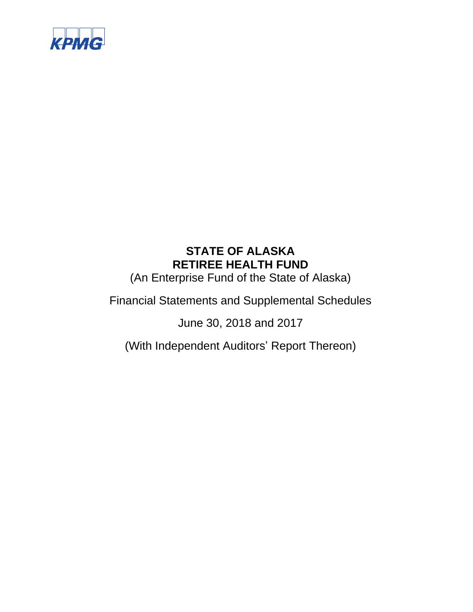

(An Enterprise Fund of the State of Alaska)

Financial Statements and Supplemental Schedules

June 30, 2018 and 2017

(With Independent Auditors' Report Thereon)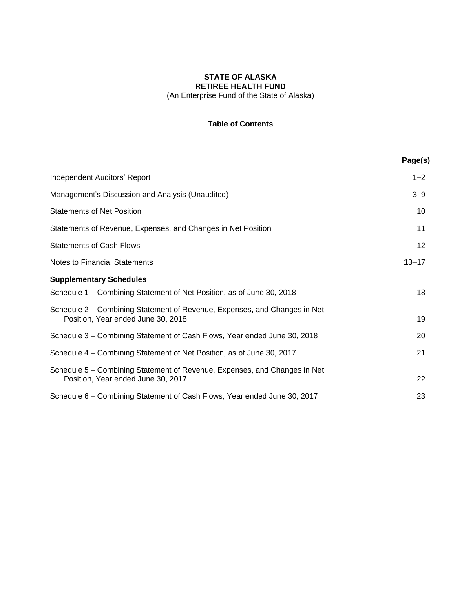### **STATE OF ALASKA RETIREE HEALTH FUND** (An Enterprise Fund of the State of Alaska)

## **Table of Contents**

|                                                                                                                 | Page(s)         |
|-----------------------------------------------------------------------------------------------------------------|-----------------|
| Independent Auditors' Report                                                                                    | $1 - 2$         |
| Management's Discussion and Analysis (Unaudited)                                                                | $3 - 9$         |
| <b>Statements of Net Position</b>                                                                               | 10              |
| Statements of Revenue, Expenses, and Changes in Net Position                                                    | 11              |
| <b>Statements of Cash Flows</b>                                                                                 | 12 <sup>2</sup> |
| Notes to Financial Statements                                                                                   | $13 - 17$       |
| <b>Supplementary Schedules</b>                                                                                  |                 |
| Schedule 1 – Combining Statement of Net Position, as of June 30, 2018                                           | 18              |
| Schedule 2 – Combining Statement of Revenue, Expenses, and Changes in Net<br>Position, Year ended June 30, 2018 | 19              |
| Schedule 3 - Combining Statement of Cash Flows, Year ended June 30, 2018                                        | 20              |
| Schedule 4 – Combining Statement of Net Position, as of June 30, 2017                                           | 21              |
| Schedule 5 – Combining Statement of Revenue, Expenses, and Changes in Net<br>Position, Year ended June 30, 2017 | 22              |
| Schedule 6 - Combining Statement of Cash Flows, Year ended June 30, 2017                                        | 23              |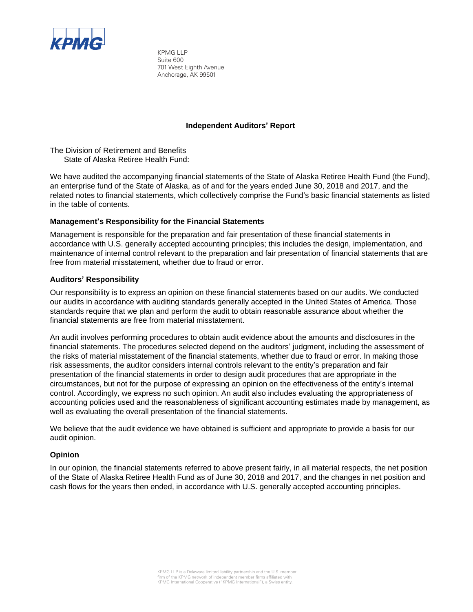

KPMG LLP Suite 600 701 West Eighth Avenue Anchorage, AK 99501

#### **Independent Auditors' Report**

The Division of Retirement and Benefits State of Alaska Retiree Health Fund:

We have audited the accompanying financial statements of the State of Alaska Retiree Health Fund (the Fund), an enterprise fund of the State of Alaska, as of and for the years ended June 30, 2018 and 2017, and the related notes to financial statements, which collectively comprise the Fund's basic financial statements as listed in the table of contents.

### **Management's Responsibility for the Financial Statements**

Management is responsible for the preparation and fair presentation of these financial statements in accordance with U.S. generally accepted accounting principles; this includes the design, implementation, and maintenance of internal control relevant to the preparation and fair presentation of financial statements that are free from material misstatement, whether due to fraud or error.

#### **Auditors' Responsibility**

Our responsibility is to express an opinion on these financial statements based on our audits. We conducted our audits in accordance with auditing standards generally accepted in the United States of America. Those standards require that we plan and perform the audit to obtain reasonable assurance about whether the financial statements are free from material misstatement.

An audit involves performing procedures to obtain audit evidence about the amounts and disclosures in the financial statements. The procedures selected depend on the auditors' judgment, including the assessment of the risks of material misstatement of the financial statements, whether due to fraud or error. In making those risk assessments, the auditor considers internal controls relevant to the entity's preparation and fair presentation of the financial statements in order to design audit procedures that are appropriate in the circumstances, but not for the purpose of expressing an opinion on the effectiveness of the entity's internal control. Accordingly, we express no such opinion. An audit also includes evaluating the appropriateness of accounting policies used and the reasonableness of significant accounting estimates made by management, as well as evaluating the overall presentation of the financial statements.

We believe that the audit evidence we have obtained is sufficient and appropriate to provide a basis for our audit opinion.

#### **Opinion**

In our opinion, the financial statements referred to above present fairly, in all material respects, the net position of the State of Alaska Retiree Health Fund as of June 30, 2018 and 2017, and the changes in net position and cash flows for the years then ended, in accordance with U.S. generally accepted accounting principles.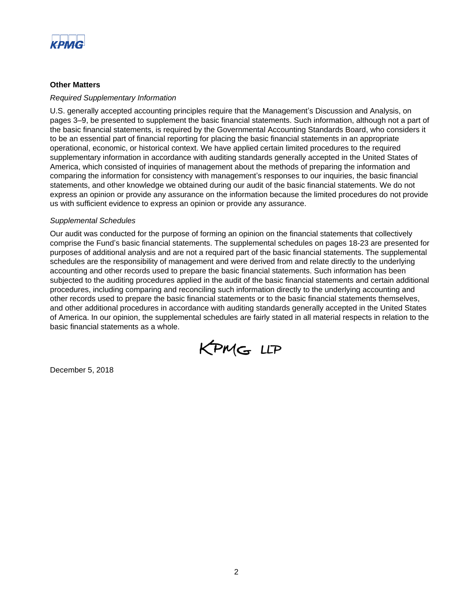

#### **Other Matters**

#### *Required Supplementary Information*

U.S. generally accepted accounting principles require that the Management's Discussion and Analysis, on pages 3–9, be presented to supplement the basic financial statements. Such information, although not a part of the basic financial statements, is required by the Governmental Accounting Standards Board, who considers it to be an essential part of financial reporting for placing the basic financial statements in an appropriate operational, economic, or historical context. We have applied certain limited procedures to the required supplementary information in accordance with auditing standards generally accepted in the United States of America, which consisted of inquiries of management about the methods of preparing the information and comparing the information for consistency with management's responses to our inquiries, the basic financial statements, and other knowledge we obtained during our audit of the basic financial statements. We do not express an opinion or provide any assurance on the information because the limited procedures do not provide us with sufficient evidence to express an opinion or provide any assurance.

#### *Supplemental Schedules*

Our audit was conducted for the purpose of forming an opinion on the financial statements that collectively comprise the Fund's basic financial statements. The supplemental schedules on pages 18-23 are presented for purposes of additional analysis and are not a required part of the basic financial statements. The supplemental schedules are the responsibility of management and were derived from and relate directly to the underlying accounting and other records used to prepare the basic financial statements. Such information has been subjected to the auditing procedures applied in the audit of the basic financial statements and certain additional procedures, including comparing and reconciling such information directly to the underlying accounting and other records used to prepare the basic financial statements or to the basic financial statements themselves, and other additional procedures in accordance with auditing standards generally accepted in the United States of America. In our opinion, the supplemental schedules are fairly stated in all material respects in relation to the basic financial statements as a whole.



December 5, 2018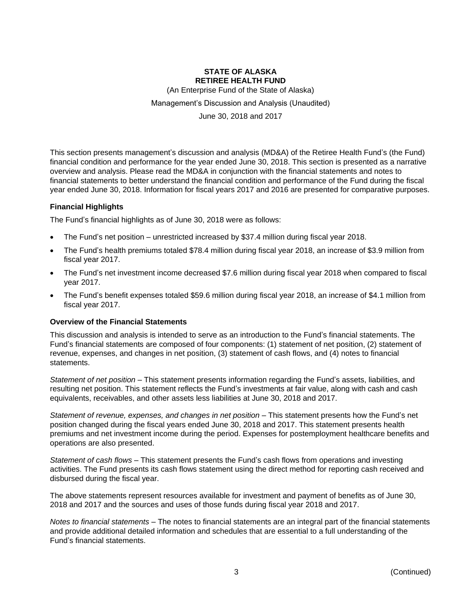(An Enterprise Fund of the State of Alaska)

Management's Discussion and Analysis (Unaudited)

June 30, 2018 and 2017

This section presents management's discussion and analysis (MD&A) of the Retiree Health Fund's (the Fund) financial condition and performance for the year ended June 30, 2018. This section is presented as a narrative overview and analysis. Please read the MD&A in conjunction with the financial statements and notes to financial statements to better understand the financial condition and performance of the Fund during the fiscal year ended June 30, 2018. Information for fiscal years 2017 and 2016 are presented for comparative purposes.

#### **Financial Highlights**

The Fund's financial highlights as of June 30, 2018 were as follows:

- The Fund's net position unrestricted increased by \$37.4 million during fiscal year 2018.
- The Fund's health premiums totaled \$78.4 million during fiscal year 2018, an increase of \$3.9 million from fiscal year 2017.
- The Fund's net investment income decreased \$7.6 million during fiscal year 2018 when compared to fiscal year 2017.
- The Fund's benefit expenses totaled \$59.6 million during fiscal year 2018, an increase of \$4.1 million from fiscal year 2017.

#### **Overview of the Financial Statements**

This discussion and analysis is intended to serve as an introduction to the Fund's financial statements. The Fund's financial statements are composed of four components: (1) statement of net position, (2) statement of revenue, expenses, and changes in net position, (3) statement of cash flows, and (4) notes to financial statements.

*Statement of net position* – This statement presents information regarding the Fund's assets, liabilities, and resulting net position. This statement reflects the Fund's investments at fair value, along with cash and cash equivalents, receivables, and other assets less liabilities at June 30, 2018 and 2017.

*Statement of revenue, expenses, and changes in net position* – This statement presents how the Fund's net position changed during the fiscal years ended June 30, 2018 and 2017. This statement presents health premiums and net investment income during the period. Expenses for postemployment healthcare benefits and operations are also presented.

*Statement of cash flows* – This statement presents the Fund's cash flows from operations and investing activities. The Fund presents its cash flows statement using the direct method for reporting cash received and disbursed during the fiscal year.

The above statements represent resources available for investment and payment of benefits as of June 30, 2018 and 2017 and the sources and uses of those funds during fiscal year 2018 and 2017.

*Notes to financial statements* – The notes to financial statements are an integral part of the financial statements and provide additional detailed information and schedules that are essential to a full understanding of the Fund's financial statements.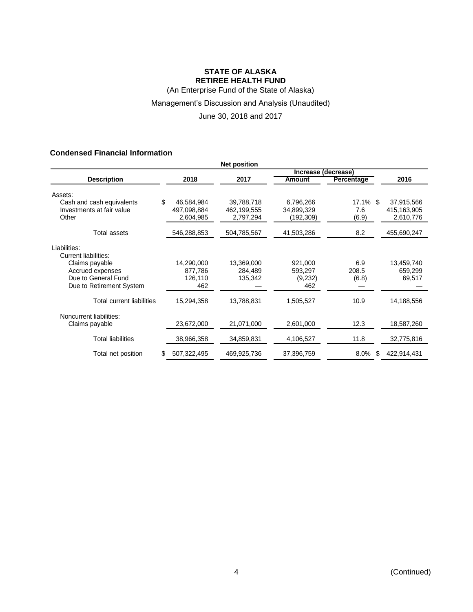(An Enterprise Fund of the State of Alaska)

## Management's Discussion and Analysis (Unaudited)

June 30, 2018 and 2017

### **Condensed Financial Information**

| <b>Net position</b>             |             |             |                     |                   |               |
|---------------------------------|-------------|-------------|---------------------|-------------------|---------------|
|                                 |             |             | Increase (decrease) |                   |               |
| <b>Description</b>              | 2018        | 2017        | Amount              | <b>Percentage</b> | 2016          |
| Assets:                         |             |             |                     |                   |               |
| \$<br>Cash and cash equivalents | 46,584,984  | 39,788,718  | 6,796,266           | $17.1\%$ \$       | 37,915,566    |
| Investments at fair value       | 497,098,884 | 462,199,555 | 34,899,329          | 7.6               | 415, 163, 905 |
| Other                           | 2,604,985   | 2,797,294   | (192,309)           | (6.9)             | 2,610,776     |
| <b>Total assets</b>             | 546,288,853 | 504,785,567 | 41,503,286          | 8.2               | 455,690,247   |
| Liabilities:                    |             |             |                     |                   |               |
| Current liabilities:            |             |             |                     |                   |               |
| Claims payable                  | 14,290,000  | 13,369,000  | 921,000             | 6.9               | 13,459,740    |
| Accrued expenses                | 877,786     | 284,489     | 593,297             | 208.5             | 659,299       |
| Due to General Fund             | 126,110     | 135,342     | (9,232)             | (6.8)             | 69,517        |
| Due to Retirement System        | 462         |             | 462                 |                   |               |
| Total current liabilities       | 15,294,358  | 13,788,831  | 1,505,527           | 10.9              | 14,188,556    |
| Noncurrent liabilities:         |             |             |                     |                   |               |
| Claims payable                  | 23,672,000  | 21,071,000  | 2,601,000           | 12.3              | 18,587,260    |
| <b>Total liabilities</b>        | 38,966,358  | 34,859,831  | 4,106,527           | 11.8              | 32,775,816    |
| Total net position<br>S         | 507,322,495 | 469,925,736 | 37,396,759          | $8.0\%$<br>\$     | 422,914,431   |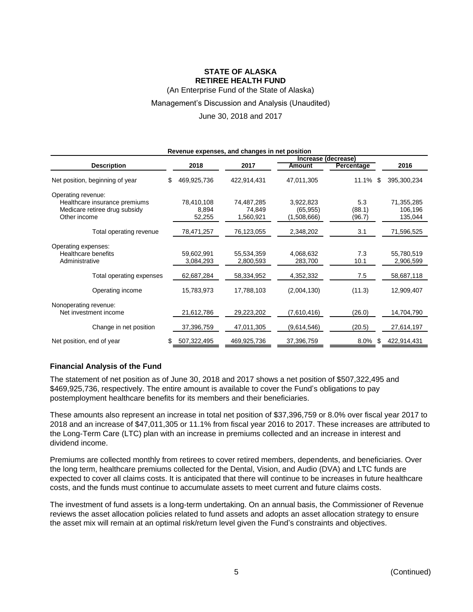(An Enterprise Fund of the State of Alaska)

#### Management's Discussion and Analysis (Unaudited)

June 30, 2018 and 2017

| Revenue expenses, and changes in net position                                                        |                               |                                   |                                       |                         |                                  |  |  |
|------------------------------------------------------------------------------------------------------|-------------------------------|-----------------------------------|---------------------------------------|-------------------------|----------------------------------|--|--|
|                                                                                                      |                               |                                   | Increase (decrease)                   |                         |                                  |  |  |
| <b>Description</b>                                                                                   | 2018                          | 2017                              | <b>Amount</b>                         | Percentage              | 2016                             |  |  |
| Net position, beginning of year<br>\$                                                                | 469,925,736                   | 422,914,431                       | 47,011,305                            | 11.1%<br>S              | 395,300,234                      |  |  |
| Operating revenue:<br>Healthcare insurance premiums<br>Medicare retiree drug subsidy<br>Other income | 78,410,108<br>8,894<br>52,255 | 74,487,285<br>74,849<br>1,560,921 | 3,922,823<br>(65, 955)<br>(1,508,666) | 5.3<br>(88.1)<br>(96.7) | 71,355,285<br>106,196<br>135,044 |  |  |
| Total operating revenue                                                                              | 78,471,257                    | 76,123,055                        | 2,348,202                             | 3.1                     | 71,596,525                       |  |  |
| Operating expenses:<br>Healthcare benefits<br>Administrative                                         | 59,602,991<br>3,084,293       | 55,534,359<br>2,800,593           | 4,068,632<br>283,700                  | 7.3<br>10.1             | 55,780,519<br>2,906,599          |  |  |
| Total operating expenses                                                                             | 62,687,284                    | 58,334,952                        | 4,352,332                             | 7.5                     | 58,687,118                       |  |  |
| Operating income                                                                                     | 15,783,973                    | 17,788,103                        | (2,004,130)                           | (11.3)                  | 12,909,407                       |  |  |
| Nonoperating revenue:<br>Net investment income                                                       | 21,612,786                    | 29,223,202                        | (7,610,416)                           | (26.0)                  | 14,704,790                       |  |  |
| Change in net position                                                                               | 37,396,759                    | 47,011,305                        | (9,614,546)                           | (20.5)                  | 27,614,197                       |  |  |
| Net position, end of year                                                                            | 507,322,495                   | 469,925,736                       | 37,396,759                            | 8.0%<br>\$              | 422,914,431                      |  |  |

#### **Financial Analysis of the Fund**

The statement of net position as of June 30, 2018 and 2017 shows a net position of \$507,322,495 and \$469,925,736, respectively. The entire amount is available to cover the Fund's obligations to pay postemployment healthcare benefits for its members and their beneficiaries.

These amounts also represent an increase in total net position of \$37,396,759 or 8.0% over fiscal year 2017 to 2018 and an increase of \$47,011,305 or 11.1% from fiscal year 2016 to 2017. These increases are attributed to the Long-Term Care (LTC) plan with an increase in premiums collected and an increase in interest and dividend income.

Premiums are collected monthly from retirees to cover retired members, dependents, and beneficiaries. Over the long term, healthcare premiums collected for the Dental, Vision, and Audio (DVA) and LTC funds are expected to cover all claims costs. It is anticipated that there will continue to be increases in future healthcare costs, and the funds must continue to accumulate assets to meet current and future claims costs.

The investment of fund assets is a long-term undertaking. On an annual basis, the Commissioner of Revenue reviews the asset allocation policies related to fund assets and adopts an asset allocation strategy to ensure the asset mix will remain at an optimal risk/return level given the Fund's constraints and objectives.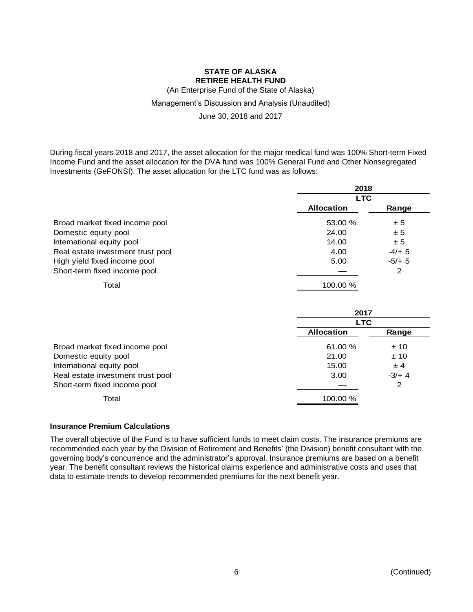(An Enterprise Fund of the State of Alaska)

#### Management's Discussion and Analysis (Unaudited)

June 30, 2018 and 2017

During fiscal years 2018 and 2017, the asset allocation for the major medical fund was 100% Short-term Fixed Income Fund and the asset allocation for the DVA fund was 100% General Fund and Other Nonsegregated Investments (GeFONSI). The asset allocation for the LTC fund was as follows:

|                                   | 2018<br><b>LTC</b> |         |  |  |
|-----------------------------------|--------------------|---------|--|--|
|                                   |                    |         |  |  |
|                                   | <b>Allocation</b>  | Range   |  |  |
| Broad market fixed income pool    | 53.00 %            | ± 5     |  |  |
| Domestic equity pool              | 24.00              | ± 5     |  |  |
| International equity pool         | 14.00              | ± 5     |  |  |
| Real estate investment trust pool | 4.00               | $-4/+5$ |  |  |
| High yield fixed income pool      | 5.00               | $-5/+5$ |  |  |
| Short-term fixed income pool      |                    | 2       |  |  |
| Total                             | 100.00 %           |         |  |  |

|                                   | 2017              |            |  |  |  |
|-----------------------------------|-------------------|------------|--|--|--|
|                                   |                   | <b>LTC</b> |  |  |  |
|                                   | <b>Allocation</b> | Range      |  |  |  |
| Broad market fixed income pool    | 61.00 %           | ±10        |  |  |  |
| Domestic equity pool              | 21.00             | ±10        |  |  |  |
| International equity pool         | 15.00             | ± 4        |  |  |  |
| Real estate investment trust pool | 3.00              | $-3/4$     |  |  |  |
| Short-term fixed income pool      |                   | 2          |  |  |  |
| Total                             | 100.00 %          |            |  |  |  |

#### **Insurance Premium Calculations**

The overall objective of the Fund is to have sufficient funds to meet claim costs. The insurance premiums are recommended each year by the Division of Retirement and Benefits' (the Division) benefit consultant with the governing body's concurrence and the administrator's approval. Insurance premiums are based on a benefit year. The benefit consultant reviews the historical claims experience and administrative costs and uses that data to estimate trends to develop recommended premiums for the next benefit year.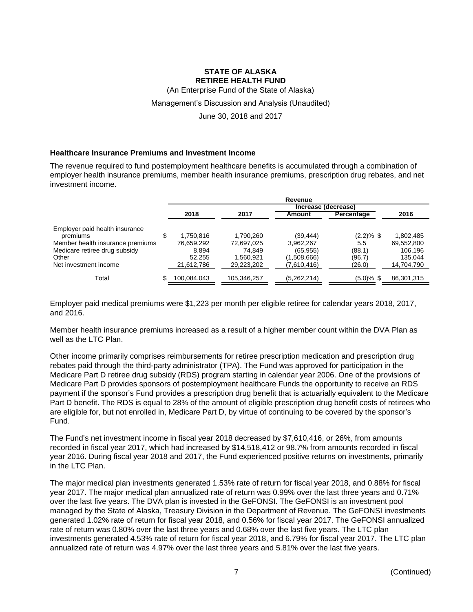(An Enterprise Fund of the State of Alaska)

#### Management's Discussion and Analysis (Unaudited)

June 30, 2018 and 2017

#### **Healthcare Insurance Premiums and Investment Income**

The revenue required to fund postemployment healthcare benefits is accumulated through a combination of employer health insurance premiums, member health insurance premiums, prescription drug rebates, and net investment income.

|                                  |    | Revenue     |             |                     |               |            |
|----------------------------------|----|-------------|-------------|---------------------|---------------|------------|
|                                  |    |             |             | Increase (decrease) |               |            |
|                                  |    | 2018        | 2017        | Amount              | Percentage    | 2016       |
| Employer paid health insurance   |    |             |             |                     |               |            |
| premiums                         | S  | 1.750.816   | 1,790,260   | (39, 444)           | $(2.2)\%$ \$  | 1,802,485  |
| Member health insurance premiums |    | 76.659,292  | 72,697,025  | 3,962,267           | 5.5           | 69,552,800 |
| Medicare retiree drug subsidy    |    | 8.894       | 74.849      | (65, 955)           | (88.1)        | 106.196    |
| Other                            |    | 52.255      | 1.560.921   | (1,508,666)         | (96.7)        | 135.044    |
| Net investment income            |    | 21,612,786  | 29.223.202  | (7,610,416)         | (26.0)        | 14,704,790 |
| Total                            | \$ | 100,084,043 | 105,346,257 | (5,262,214)         | $(5.0) \%$ \$ | 86,301,315 |

Employer paid medical premiums were \$1,223 per month per eligible retiree for calendar years 2018, 2017, and 2016.

Member health insurance premiums increased as a result of a higher member count within the DVA Plan as well as the LTC Plan.

Other income primarily comprises reimbursements for retiree prescription medication and prescription drug rebates paid through the third-party administrator (TPA). The Fund was approved for participation in the Medicare Part D retiree drug subsidy (RDS) program starting in calendar year 2006. One of the provisions of Medicare Part D provides sponsors of postemployment healthcare Funds the opportunity to receive an RDS payment if the sponsor's Fund provides a prescription drug benefit that is actuarially equivalent to the Medicare Part D benefit. The RDS is equal to 28% of the amount of eligible prescription drug benefit costs of retirees who are eligible for, but not enrolled in, Medicare Part D, by virtue of continuing to be covered by the sponsor's Fund.

The Fund's net investment income in fiscal year 2018 decreased by \$7,610,416, or 26%, from amounts recorded in fiscal year 2017, which had increased by \$14,518,412 or 98.7% from amounts recorded in fiscal year 2016. During fiscal year 2018 and 2017, the Fund experienced positive returns on investments, primarily in the LTC Plan.

The major medical plan investments generated 1.53% rate of return for fiscal year 2018, and 0.88% for fiscal year 2017. The major medical plan annualized rate of return was 0.99% over the last three years and 0.71% over the last five years. The DVA plan is invested in the GeFONSI. The GeFONSI is an investment pool managed by the State of Alaska, Treasury Division in the Department of Revenue. The GeFONSI investments generated 1.02% rate of return for fiscal year 2018, and 0.56% for fiscal year 2017. The GeFONSI annualized rate of return was 0.80% over the last three years and 0.68% over the last five years. The LTC plan investments generated 4.53% rate of return for fiscal year 2018, and 6.79% for fiscal year 2017. The LTC plan annualized rate of return was 4.97% over the last three years and 5.81% over the last five years.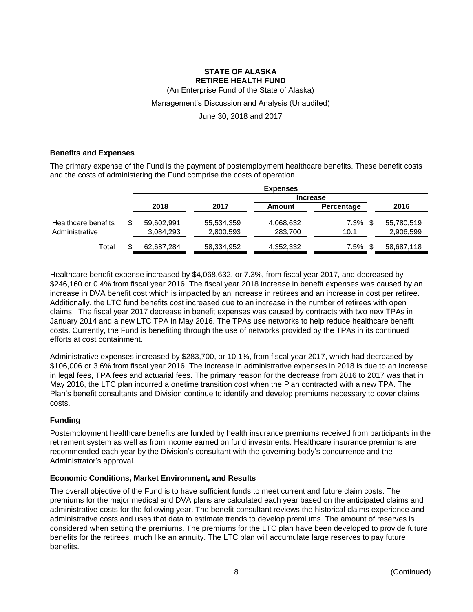(An Enterprise Fund of the State of Alaska)

#### Management's Discussion and Analysis (Unaudited)

June 30, 2018 and 2017

#### **Benefits and Expenses**

The primary expense of the Fund is the payment of postemployment healthcare benefits. These benefit costs and the costs of administering the Fund comprise the costs of operation.

|                                       |                         |                         | <b>Expenses</b>      |              |                         |
|---------------------------------------|-------------------------|-------------------------|----------------------|--------------|-------------------------|
|                                       |                         |                         | <b>Increase</b>      |              |                         |
|                                       | 2018                    | 2017                    | Amount               | Percentage   | 2016                    |
| Healthcare benefits<br>Administrative | 59,602,991<br>3,084,293 | 55,534,359<br>2,800,593 | 4,068,632<br>283,700 | 7.3%<br>10.1 | 55,780,519<br>2,906,599 |
| Total                                 | 62,687,284              | 58,334,952              | 4,352,332            | 7.5%         | 58,687,118              |

Healthcare benefit expense increased by \$4,068,632, or 7.3%, from fiscal year 2017, and decreased by \$246,160 or 0.4% from fiscal year 2016. The fiscal year 2018 increase in benefit expenses was caused by an increase in DVA benefit cost which is impacted by an increase in retirees and an increase in cost per retiree. Additionally, the LTC fund benefits cost increased due to an increase in the number of retirees with open claims. The fiscal year 2017 decrease in benefit expenses was caused by contracts with two new TPAs in January 2014 and a new LTC TPA in May 2016. The TPAs use networks to help reduce healthcare benefit costs. Currently, the Fund is benefiting through the use of networks provided by the TPAs in its continued efforts at cost containment.

Administrative expenses increased by \$283,700, or 10.1%, from fiscal year 2017, which had decreased by \$106,006 or 3.6% from fiscal year 2016. The increase in administrative expenses in 2018 is due to an increase in legal fees, TPA fees and actuarial fees. The primary reason for the decrease from 2016 to 2017 was that in May 2016, the LTC plan incurred a onetime transition cost when the Plan contracted with a new TPA. The Plan's benefit consultants and Division continue to identify and develop premiums necessary to cover claims costs.

### **Funding**

Postemployment healthcare benefits are funded by health insurance premiums received from participants in the retirement system as well as from income earned on fund investments. Healthcare insurance premiums are recommended each year by the Division's consultant with the governing body's concurrence and the Administrator's approval.

### **Economic Conditions, Market Environment, and Results**

The overall objective of the Fund is to have sufficient funds to meet current and future claim costs. The premiums for the major medical and DVA plans are calculated each year based on the anticipated claims and administrative costs for the following year. The benefit consultant reviews the historical claims experience and administrative costs and uses that data to estimate trends to develop premiums. The amount of reserves is considered when setting the premiums. The premiums for the LTC plan have been developed to provide future benefits for the retirees, much like an annuity. The LTC plan will accumulate large reserves to pay future benefits.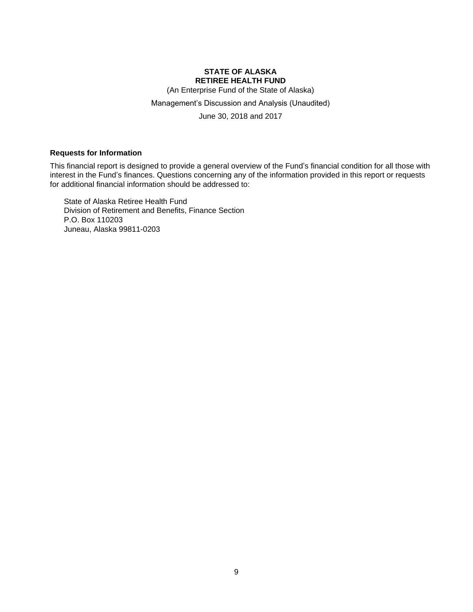(An Enterprise Fund of the State of Alaska)

Management's Discussion and Analysis (Unaudited)

June 30, 2018 and 2017

#### **Requests for Information**

This financial report is designed to provide a general overview of the Fund's financial condition for all those with interest in the Fund's finances. Questions concerning any of the information provided in this report or requests for additional financial information should be addressed to:

State of Alaska Retiree Health Fund Division of Retirement and Benefits, Finance Section P.O. Box 110203 Juneau, Alaska 99811-0203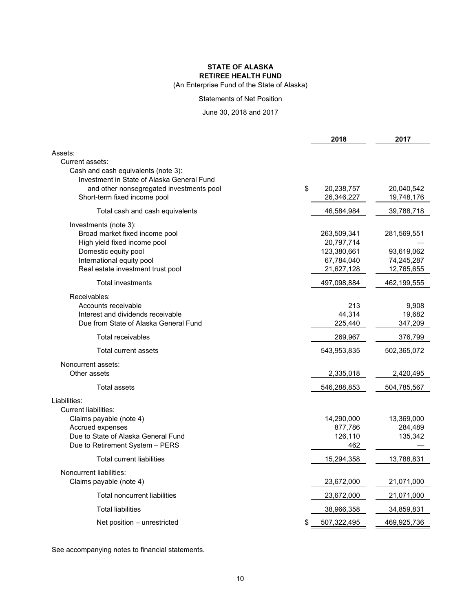#### **STATE OF ALASKA RETIREE HEALTH FUND** (An Enterprise Fund of the State of Alaska)

#### Statements of Net Position

#### June 30, 2018 and 2017

|                                                | 2018        | 2017        |
|------------------------------------------------|-------------|-------------|
| Assets:                                        |             |             |
| Current assets:                                |             |             |
| Cash and cash equivalents (note 3):            |             |             |
| Investment in State of Alaska General Fund     |             |             |
| \$<br>and other nonsegregated investments pool | 20,238,757  | 20,040,542  |
| Short-term fixed income pool                   | 26,346,227  | 19,748,176  |
| Total cash and cash equivalents                | 46,584,984  | 39,788,718  |
| Investments (note 3):                          |             |             |
| Broad market fixed income pool                 | 263,509,341 | 281,569,551 |
| High yield fixed income pool                   | 20,797,714  |             |
| Domestic equity pool                           | 123,380,661 | 93,619,062  |
| International equity pool                      | 67,784,040  | 74,245,287  |
| Real estate investment trust pool              | 21,627,128  | 12,765,655  |
| <b>Total investments</b>                       | 497,098,884 | 462,199,555 |
| Receivables:                                   |             |             |
| Accounts receivable                            | 213         | 9,908       |
| Interest and dividends receivable              | 44,314      | 19,682      |
| Due from State of Alaska General Fund          | 225,440     | 347,209     |
| Total receivables                              | 269,967     | 376,799     |
| Total current assets                           | 543,953,835 | 502,365,072 |
| Noncurrent assets:                             |             |             |
| Other assets                                   | 2,335,018   | 2,420,495   |
| Total assets                                   | 546,288,853 | 504,785,567 |
| Liabilities:                                   |             |             |
| <b>Current liabilities:</b>                    |             |             |
| Claims payable (note 4)                        | 14,290,000  | 13,369,000  |
| Accrued expenses                               | 877,786     | 284,489     |
| Due to State of Alaska General Fund            | 126,110     | 135,342     |
| Due to Retirement System - PERS                | 462         |             |
| <b>Total current liabilities</b>               | 15,294,358  | 13,788,831  |
| Noncurrent liabilities:                        |             |             |
| Claims payable (note 4)                        | 23,672,000  | 21,071,000  |
| <b>Total noncurrent liabilities</b>            | 23,672,000  | 21,071,000  |
| <b>Total liabilities</b>                       | 38,966,358  | 34,859,831  |
| \$<br>Net position – unrestricted              | 507,322,495 | 469,925,736 |

See accompanying notes to financial statements.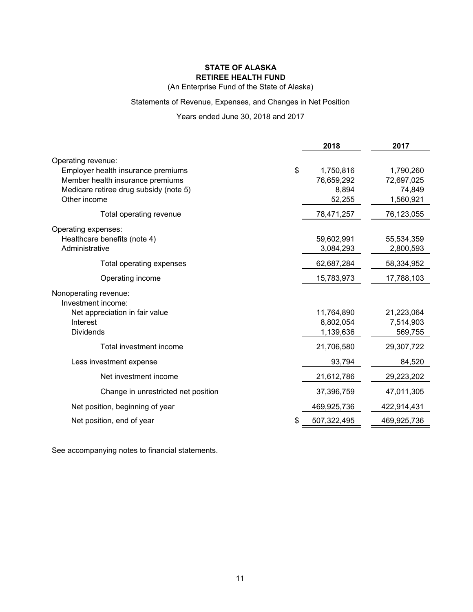(An Enterprise Fund of the State of Alaska)

### Statements of Revenue, Expenses, and Changes in Net Position

## Years ended June 30, 2018 and 2017

|                                        | 2018              | 2017        |
|----------------------------------------|-------------------|-------------|
| Operating revenue:                     |                   |             |
| Employer health insurance premiums     | \$<br>1,750,816   | 1,790,260   |
| Member health insurance premiums       | 76,659,292        | 72,697,025  |
| Medicare retiree drug subsidy (note 5) | 8,894             | 74,849      |
| Other income                           | 52,255            | 1,560,921   |
| Total operating revenue                | 78,471,257        | 76,123,055  |
| Operating expenses:                    |                   |             |
| Healthcare benefits (note 4)           | 59,602,991        | 55,534,359  |
| Administrative                         | 3,084,293         | 2,800,593   |
| Total operating expenses               | 62,687,284        | 58,334,952  |
| Operating income                       | 15,783,973        | 17,788,103  |
| Nonoperating revenue:                  |                   |             |
| Investment income:                     |                   |             |
| Net appreciation in fair value         | 11,764,890        | 21,223,064  |
| Interest                               | 8,802,054         | 7,514,903   |
| <b>Dividends</b>                       | 1,139,636         | 569,755     |
| Total investment income                | 21,706,580        | 29,307,722  |
| Less investment expense                | 93,794            | 84,520      |
| Net investment income                  | 21,612,786        | 29,223,202  |
| Change in unrestricted net position    | 37,396,759        | 47,011,305  |
| Net position, beginning of year        | 469,925,736       | 422,914,431 |
| Net position, end of year              | \$<br>507,322,495 | 469,925,736 |

See accompanying notes to financial statements.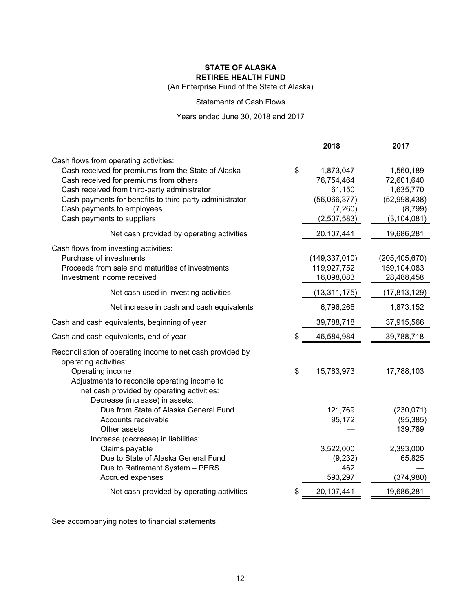(An Enterprise Fund of the State of Alaska)

#### Statements of Cash Flows

Years ended June 30, 2018 and 2017

|                                                                         | 2018             | 2017            |
|-------------------------------------------------------------------------|------------------|-----------------|
| Cash flows from operating activities:                                   |                  |                 |
| Cash received for premiums from the State of Alaska                     | \$<br>1,873,047  | 1,560,189       |
| Cash received for premiums from others                                  | 76,754,464       | 72,601,640      |
| Cash received from third-party administrator                            | 61,150           | 1,635,770       |
| Cash payments for benefits to third-party administrator                 | (56,066,377)     | (52,998,438)    |
| Cash payments to employees                                              | (7,260)          | (8,799)         |
| Cash payments to suppliers                                              | (2,507,583)      | (3, 104, 081)   |
| Net cash provided by operating activities                               | 20,107,441       | 19,686,281      |
| Cash flows from investing activities:                                   |                  |                 |
| Purchase of investments                                                 | (149, 337, 010)  | (205, 405, 670) |
| Proceeds from sale and maturities of investments                        | 119,927,752      | 159,104,083     |
| Investment income received                                              | 16,098,083       | 28,488,458      |
| Net cash used in investing activities                                   | (13,311,175)     | (17, 813, 129)  |
| Net increase in cash and cash equivalents                               | 6,796,266        | 1,873,152       |
| Cash and cash equivalents, beginning of year                            | 39,788,718       | 37,915,566      |
| Cash and cash equivalents, end of year                                  | \$<br>46,584,984 | 39,788,718      |
| Reconciliation of operating income to net cash provided by              |                  |                 |
| operating activities:                                                   |                  |                 |
| Operating income                                                        | \$<br>15,783,973 | 17,788,103      |
| Adjustments to reconcile operating income to                            |                  |                 |
| net cash provided by operating activities:                              |                  |                 |
| Decrease (increase) in assets:<br>Due from State of Alaska General Fund | 121,769          | (230, 071)      |
| Accounts receivable                                                     | 95,172           | (95, 385)       |
| Other assets                                                            |                  | 139,789         |
| Increase (decrease) in liabilities:                                     |                  |                 |
| Claims payable                                                          | 3,522,000        | 2,393,000       |
| Due to State of Alaska General Fund                                     | (9, 232)         | 65,825          |
| Due to Retirement System - PERS                                         | 462              |                 |
| Accrued expenses                                                        | 593,297          | (374, 980)      |
| Net cash provided by operating activities                               | \$<br>20,107,441 | 19,686,281      |

See accompanying notes to financial statements.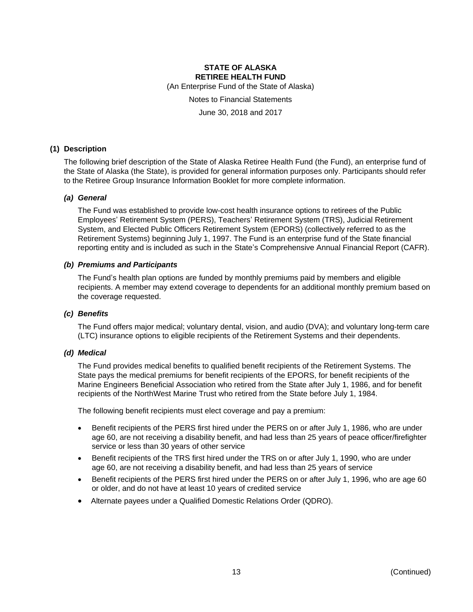(An Enterprise Fund of the State of Alaska)

Notes to Financial Statements

June 30, 2018 and 2017

#### **(1) Description**

The following brief description of the State of Alaska Retiree Health Fund (the Fund), an enterprise fund of the State of Alaska (the State), is provided for general information purposes only. Participants should refer to the Retiree Group Insurance Information Booklet for more complete information.

#### *(a) General*

The Fund was established to provide low-cost health insurance options to retirees of the Public Employees' Retirement System (PERS), Teachers' Retirement System (TRS), Judicial Retirement System, and Elected Public Officers Retirement System (EPORS) (collectively referred to as the Retirement Systems) beginning July 1, 1997. The Fund is an enterprise fund of the State financial reporting entity and is included as such in the State's Comprehensive Annual Financial Report (CAFR).

#### *(b) Premiums and Participants*

The Fund's health plan options are funded by monthly premiums paid by members and eligible recipients. A member may extend coverage to dependents for an additional monthly premium based on the coverage requested.

#### *(c) Benefits*

The Fund offers major medical; voluntary dental, vision, and audio (DVA); and voluntary long-term care (LTC) insurance options to eligible recipients of the Retirement Systems and their dependents.

#### *(d) Medical*

The Fund provides medical benefits to qualified benefit recipients of the Retirement Systems. The State pays the medical premiums for benefit recipients of the EPORS, for benefit recipients of the Marine Engineers Beneficial Association who retired from the State after July 1, 1986, and for benefit recipients of the NorthWest Marine Trust who retired from the State before July 1, 1984.

The following benefit recipients must elect coverage and pay a premium:

- Benefit recipients of the PERS first hired under the PERS on or after July 1, 1986, who are under age 60, are not receiving a disability benefit, and had less than 25 years of peace officer/firefighter service or less than 30 years of other service
- Benefit recipients of the TRS first hired under the TRS on or after July 1, 1990, who are under age 60, are not receiving a disability benefit, and had less than 25 years of service
- Benefit recipients of the PERS first hired under the PERS on or after July 1, 1996, who are age 60 or older, and do not have at least 10 years of credited service
- Alternate payees under a Qualified Domestic Relations Order (QDRO).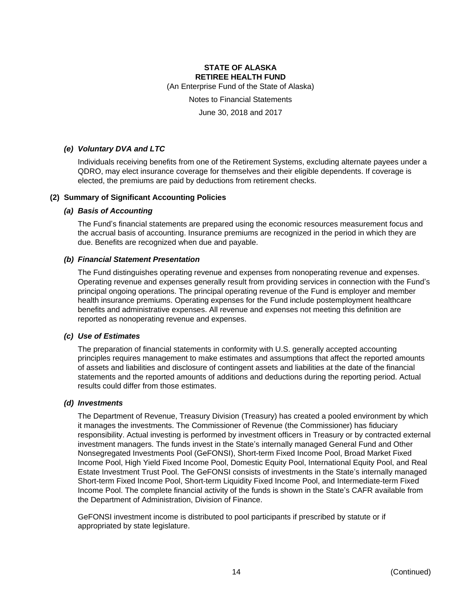(An Enterprise Fund of the State of Alaska)

Notes to Financial Statements

June 30, 2018 and 2017

#### *(e) Voluntary DVA and LTC*

Individuals receiving benefits from one of the Retirement Systems, excluding alternate payees under a QDRO, may elect insurance coverage for themselves and their eligible dependents. If coverage is elected, the premiums are paid by deductions from retirement checks.

#### **(2) Summary of Significant Accounting Policies**

#### *(a) Basis of Accounting*

The Fund's financial statements are prepared using the economic resources measurement focus and the accrual basis of accounting. Insurance premiums are recognized in the period in which they are due. Benefits are recognized when due and payable.

#### *(b) Financial Statement Presentation*

The Fund distinguishes operating revenue and expenses from nonoperating revenue and expenses. Operating revenue and expenses generally result from providing services in connection with the Fund's principal ongoing operations. The principal operating revenue of the Fund is employer and member health insurance premiums. Operating expenses for the Fund include postemployment healthcare benefits and administrative expenses. All revenue and expenses not meeting this definition are reported as nonoperating revenue and expenses.

#### *(c) Use of Estimates*

The preparation of financial statements in conformity with U.S. generally accepted accounting principles requires management to make estimates and assumptions that affect the reported amounts of assets and liabilities and disclosure of contingent assets and liabilities at the date of the financial statements and the reported amounts of additions and deductions during the reporting period. Actual results could differ from those estimates.

#### *(d) Investments*

The Department of Revenue, Treasury Division (Treasury) has created a pooled environment by which it manages the investments. The Commissioner of Revenue (the Commissioner) has fiduciary responsibility. Actual investing is performed by investment officers in Treasury or by contracted external investment managers. The funds invest in the State's internally managed General Fund and Other Nonsegregated Investments Pool (GeFONSI), Short-term Fixed Income Pool, Broad Market Fixed Income Pool, High Yield Fixed Income Pool, Domestic Equity Pool, International Equity Pool, and Real Estate Investment Trust Pool. The GeFONSI consists of investments in the State's internally managed Short-term Fixed Income Pool, Short-term Liquidity Fixed Income Pool, and Intermediate-term Fixed Income Pool. The complete financial activity of the funds is shown in the State's CAFR available from the Department of Administration, Division of Finance.

GeFONSI investment income is distributed to pool participants if prescribed by statute or if appropriated by state legislature.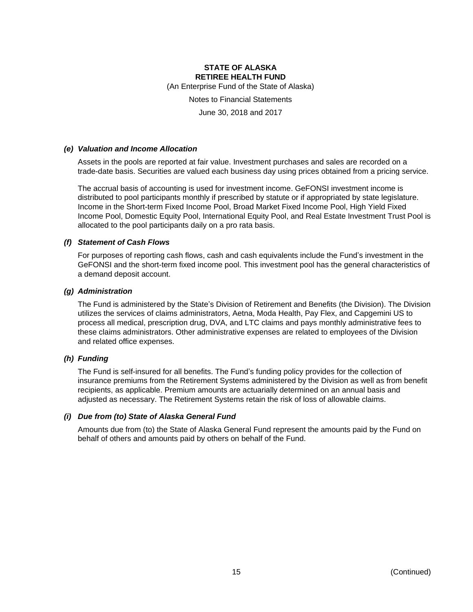(An Enterprise Fund of the State of Alaska)

Notes to Financial Statements

June 30, 2018 and 2017

#### *(e) Valuation and Income Allocation*

Assets in the pools are reported at fair value. Investment purchases and sales are recorded on a trade-date basis. Securities are valued each business day using prices obtained from a pricing service.

The accrual basis of accounting is used for investment income. GeFONSI investment income is distributed to pool participants monthly if prescribed by statute or if appropriated by state legislature. Income in the Short-term Fixed Income Pool, Broad Market Fixed Income Pool, High Yield Fixed Income Pool, Domestic Equity Pool, International Equity Pool, and Real Estate Investment Trust Pool is allocated to the pool participants daily on a pro rata basis.

#### *(f) Statement of Cash Flows*

For purposes of reporting cash flows, cash and cash equivalents include the Fund's investment in the GeFONSI and the short-term fixed income pool. This investment pool has the general characteristics of a demand deposit account.

#### *(g) Administration*

The Fund is administered by the State's Division of Retirement and Benefits (the Division). The Division utilizes the services of claims administrators, Aetna, Moda Health, Pay Flex, and Capgemini US to process all medical, prescription drug, DVA, and LTC claims and pays monthly administrative fees to these claims administrators. Other administrative expenses are related to employees of the Division and related office expenses.

#### *(h) Funding*

The Fund is self-insured for all benefits. The Fund's funding policy provides for the collection of insurance premiums from the Retirement Systems administered by the Division as well as from benefit recipients, as applicable. Premium amounts are actuarially determined on an annual basis and adjusted as necessary. The Retirement Systems retain the risk of loss of allowable claims.

#### *(i) Due from (to) State of Alaska General Fund*

Amounts due from (to) the State of Alaska General Fund represent the amounts paid by the Fund on behalf of others and amounts paid by others on behalf of the Fund.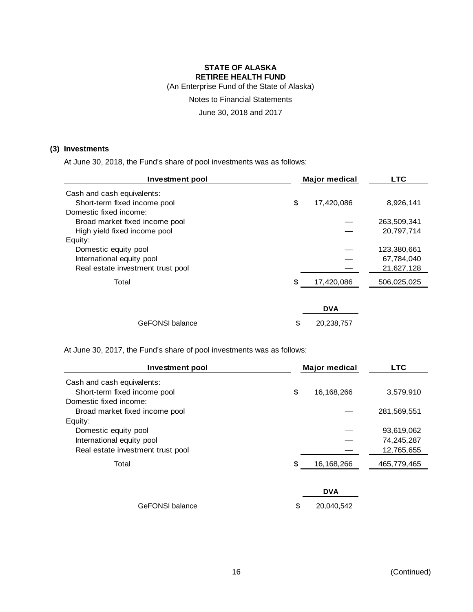(An Enterprise Fund of the State of Alaska)

Notes to Financial Statements

June 30, 2018 and 2017

#### **(3) Investments**

At June 30, 2018, the Fund's share of pool investments was as follows:

| <b>Investment pool</b>            |    | <b>Major medical</b> |             |
|-----------------------------------|----|----------------------|-------------|
| Cash and cash equivalents:        |    |                      |             |
| Short-term fixed income pool      | \$ | 17,420,086           | 8,926,141   |
| Domestic fixed income:            |    |                      |             |
| Broad market fixed income pool    |    |                      | 263,509,341 |
| High yield fixed income pool      |    |                      | 20,797,714  |
| Equity:                           |    |                      |             |
| Domestic equity pool              |    |                      | 123,380,661 |
| International equity pool         |    |                      | 67,784,040  |
| Real estate investment trust pool |    |                      | 21,627,128  |
| Total                             | S  | 17,420,086           | 506,025,025 |
|                                   |    |                      |             |
|                                   |    | <b>DVA</b>           |             |
| <b>GeFONSI</b> balance            | \$ | 20,238,757           |             |

At June 30, 2017, the Fund's share of pool investments was as follows:

| Investment pool                   | <b>Major medical</b> | <b>LTC</b>  |
|-----------------------------------|----------------------|-------------|
| Cash and cash equivalents:        |                      |             |
| Short-term fixed income pool      | \$<br>16,168,266     | 3,579,910   |
| Domestic fixed income:            |                      |             |
| Broad market fixed income pool    |                      | 281,569,551 |
| Equity:                           |                      |             |
| Domestic equity pool              |                      | 93,619,062  |
| International equity pool         |                      | 74,245,287  |
| Real estate investment trust pool |                      | 12,765,655  |
| Total                             | \$<br>16,168,266     | 465,779,465 |
|                                   |                      |             |
|                                   | <b>DVA</b>           |             |
| <b>GeFONSI</b> balance            | \$<br>20,040,542     |             |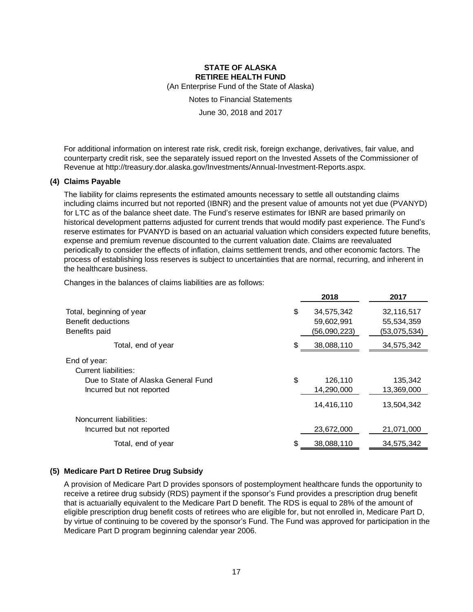(An Enterprise Fund of the State of Alaska)

Notes to Financial Statements

June 30, 2018 and 2017

For additional information on interest rate risk, credit risk, foreign exchange, derivatives, fair value, and counterparty credit risk, see the separately issued report on the Invested Assets of the Commissioner of Revenue at http://treasury.dor.alaska.gov/Investments/Annual-Investment-Reports.aspx.

#### **(4) Claims Payable**

The liability for claims represents the estimated amounts necessary to settle all outstanding claims including claims incurred but not reported (IBNR) and the present value of amounts not yet due (PVANYD) for LTC as of the balance sheet date. The Fund's reserve estimates for IBNR are based primarily on historical development patterns adjusted for current trends that would modify past experience. The Fund's reserve estimates for PVANYD is based on an actuarial valuation which considers expected future benefits, expense and premium revenue discounted to the current valuation date. Claims are reevaluated periodically to consider the effects of inflation, claims settlement trends, and other economic factors. The process of establishing loss reserves is subject to uncertainties that are normal, recurring, and inherent in the healthcare business.

Changes in the balances of claims liabilities are as follows:

|                                      |    | 2018         | 2017         |
|--------------------------------------|----|--------------|--------------|
| Total, beginning of year             | \$ | 34,575,342   | 32,116,517   |
| Benefit deductions                   |    | 59,602,991   | 55,534,359   |
| Benefits paid                        |    | (56,090,223) | (53,075,534) |
| Total, end of year                   | S  | 38,088,110   | 34,575,342   |
| End of year:<br>Current liabilities: |    |              |              |
|                                      |    |              |              |
| Due to State of Alaska General Fund  | \$ | 126,110      | 135,342      |
| Incurred but not reported            |    | 14,290,000   | 13,369,000   |
|                                      |    | 14,416,110   | 13,504,342   |
| Noncurrent liabilities:              |    |              |              |
| Incurred but not reported            |    | 23,672,000   | 21,071,000   |
| Total, end of year                   |    | 38,088,110   | 34,575,342   |
|                                      |    |              |              |

#### **(5) Medicare Part D Retiree Drug Subsidy**

A provision of Medicare Part D provides sponsors of postemployment healthcare funds the opportunity to receive a retiree drug subsidy (RDS) payment if the sponsor's Fund provides a prescription drug benefit that is actuarially equivalent to the Medicare Part D benefit. The RDS is equal to 28% of the amount of eligible prescription drug benefit costs of retirees who are eligible for, but not enrolled in, Medicare Part D, by virtue of continuing to be covered by the sponsor's Fund. The Fund was approved for participation in the Medicare Part D program beginning calendar year 2006.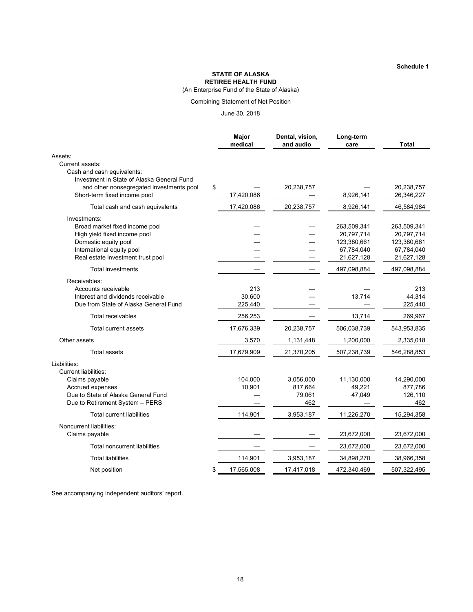**Schedule 1**

#### **STATE OF ALASKA RETIREE HEALTH FUND**

(An Enterprise Fund of the State of Alaska)

#### Combining Statement of Net Position

June 30, 2018

|                                                                                                                                                                          | Major<br>medical         | Dental, vision,<br>and audio          | Long-term<br>care                                                    | Total                                                                |
|--------------------------------------------------------------------------------------------------------------------------------------------------------------------------|--------------------------|---------------------------------------|----------------------------------------------------------------------|----------------------------------------------------------------------|
| Assets:                                                                                                                                                                  |                          |                                       |                                                                      |                                                                      |
| Current assets:<br>Cash and cash equivalents:<br>Investment in State of Alaska General Fund                                                                              |                          |                                       |                                                                      |                                                                      |
| and other nonsegregated investments pool<br>Short-term fixed income pool                                                                                                 | \$<br>17,420,086         | 20,238,757                            | 8,926,141                                                            | 20,238,757<br>26,346,227                                             |
| Total cash and cash equivalents                                                                                                                                          | 17,420,086               | 20,238,757                            | 8,926,141                                                            | 46,584,984                                                           |
| Investments:<br>Broad market fixed income pool<br>High yield fixed income pool<br>Domestic equity pool<br>International equity pool<br>Real estate investment trust pool |                          |                                       | 263,509,341<br>20,797,714<br>123,380,661<br>67,784,040<br>21,627,128 | 263,509,341<br>20,797,714<br>123,380,661<br>67,784,040<br>21,627,128 |
| <b>Total investments</b>                                                                                                                                                 |                          |                                       | 497,098,884                                                          | 497,098,884                                                          |
| Receivables:<br>Accounts receivable<br>Interest and dividends receivable<br>Due from State of Alaska General Fund                                                        | 213<br>30,600<br>225,440 |                                       | 13,714                                                               | 213<br>44,314<br>225,440                                             |
| Total receivables                                                                                                                                                        | 256,253                  |                                       | 13,714                                                               | 269,967                                                              |
| <b>Total current assets</b>                                                                                                                                              | 17,676,339               | 20,238,757                            | 506,038,739                                                          | 543,953,835                                                          |
| Other assets                                                                                                                                                             | 3,570                    | 1,131,448                             | 1,200,000                                                            | 2,335,018                                                            |
| <b>Total assets</b>                                                                                                                                                      | 17,679,909               | 21,370,205                            | 507,238,739                                                          | 546,288,853                                                          |
| Liabilities:<br><b>Current liabilities:</b><br>Claims payable<br>Accrued expenses<br>Due to State of Alaska General Fund<br>Due to Retirement System - PERS              | 104,000<br>10,901        | 3,056,000<br>817,664<br>79,061<br>462 | 11,130,000<br>49,221<br>47,049                                       | 14,290,000<br>877,786<br>126,110<br>462                              |
| Total current liabilities                                                                                                                                                | 114,901                  | 3,953,187                             | 11,226,270                                                           | 15,294,358                                                           |
| Noncurrent liabilities:<br>Claims payable                                                                                                                                |                          |                                       | 23,672,000                                                           | 23,672,000                                                           |
| Total noncurrent liabilities                                                                                                                                             |                          |                                       | 23,672,000                                                           | 23,672,000                                                           |
| <b>Total liabilities</b>                                                                                                                                                 | 114,901                  | 3,953,187                             | 34,898,270                                                           | 38,966,358                                                           |
| Net position                                                                                                                                                             | \$<br>17,565,008         | 17,417,018                            | 472,340,469                                                          | 507,322,495                                                          |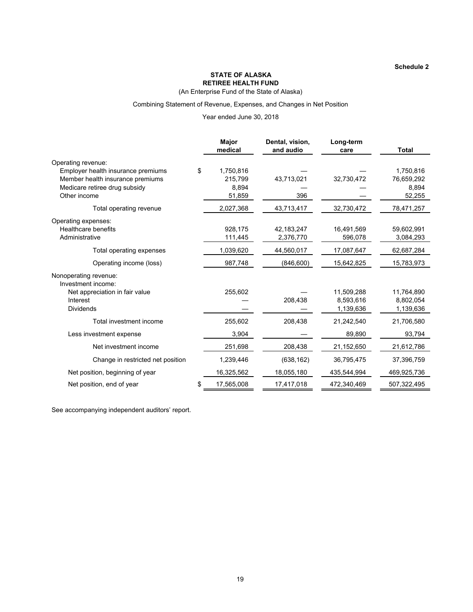(An Enterprise Fund of the State of Alaska)

#### Combining Statement of Revenue, Expenses, and Changes in Net Position

#### Year ended June 30, 2018

|                                                                                                                                               | Major<br>medical                              | Dental, vision,<br>and audio | Long-term<br>care                    | <b>Total</b>                               |
|-----------------------------------------------------------------------------------------------------------------------------------------------|-----------------------------------------------|------------------------------|--------------------------------------|--------------------------------------------|
| Operating revenue:<br>Employer health insurance premiums<br>Member health insurance premiums<br>Medicare retiree drug subsidy<br>Other income | \$<br>1,750,816<br>215,799<br>8.894<br>51,859 | 43,713,021<br>396            | 32,730,472                           | 1,750,816<br>76,659,292<br>8,894<br>52,255 |
| Total operating revenue                                                                                                                       | 2,027,368                                     | 43,713,417                   | 32,730,472                           | 78,471,257                                 |
| Operating expenses:<br><b>Healthcare benefits</b><br>Administrative                                                                           | 928,175<br>111,445                            | 42,183,247<br>2,376,770      | 16,491,569<br>596,078                | 59,602,991<br>3,084,293                    |
| Total operating expenses                                                                                                                      | 1,039,620                                     | 44,560,017                   | 17,087,647                           | 62,687,284                                 |
| Operating income (loss)                                                                                                                       | 987,748                                       | (846, 600)                   | 15,642,825                           | 15,783,973                                 |
| Nonoperating revenue:<br>Investment income:<br>Net appreciation in fair value<br>Interest<br><b>Dividends</b>                                 | 255,602                                       | 208,438                      | 11,509,288<br>8,593,616<br>1,139,636 | 11,764,890<br>8,802,054<br>1,139,636       |
| Total investment income                                                                                                                       | 255,602                                       | 208,438                      | 21,242,540                           | 21,706,580                                 |
| Less investment expense                                                                                                                       | 3,904                                         |                              | 89,890                               | 93,794                                     |
| Net investment income                                                                                                                         | 251,698                                       | 208,438                      | 21,152,650                           | 21,612,786                                 |
| Change in restricted net position                                                                                                             | 1,239,446                                     | (638, 162)                   | 36,795,475                           | 37,396,759                                 |
| Net position, beginning of year                                                                                                               | 16,325,562                                    | 18,055,180                   | 435,544,994                          | 469,925,736                                |
| Net position, end of year                                                                                                                     | 17,565,008                                    | 17,417,018                   | 472,340,469                          | 507,322,495                                |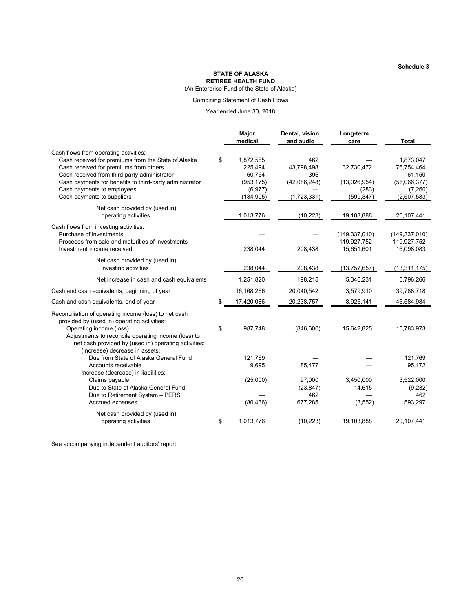(An Enterprise Fund of the State of Alaska)

#### Combining Statement of Cash Flows

#### Year ended June 30, 2018

|                                                                                                                                                                                                                                                                                                               | Major<br>medical                                                             | Dental, vision,<br>and audio                            | Long-term<br>care                                 | <b>Total</b>                                                                |
|---------------------------------------------------------------------------------------------------------------------------------------------------------------------------------------------------------------------------------------------------------------------------------------------------------------|------------------------------------------------------------------------------|---------------------------------------------------------|---------------------------------------------------|-----------------------------------------------------------------------------|
| Cash flows from operating activities:<br>Cash received for premiums from the State of Alaska<br>Cash received for premiums from others<br>Cash received from third-party administrator<br>Cash payments for benefits to third-party administrator<br>Cash payments to employees<br>Cash payments to suppliers | \$<br>1,872,585<br>225,494<br>60,754<br>(953, 175)<br>(6, 977)<br>(184, 905) | 462<br>43,798,498<br>396<br>(42,086,248)<br>(1,723,331) | 32,730,472<br>(13,026,954)<br>(283)<br>(599, 347) | 1,873,047<br>76,754,464<br>61,150<br>(56,066,377)<br>(7,260)<br>(2,507,583) |
| Net cash provided by (used in)<br>operating activities                                                                                                                                                                                                                                                        | 1,013,776                                                                    | (10, 223)                                               | 19,103,888                                        | 20, 107, 441                                                                |
| Cash flows from investing activities:<br>Purchase of investments<br>Proceeds from sale and maturities of investments<br>Investment income received                                                                                                                                                            | 238,044                                                                      | 208,438                                                 | (149, 337, 010)<br>119,927,752<br>15,651,601      | (149, 337, 010)<br>119,927,752<br>16,098,083                                |
| Net cash provided by (used in)<br>investing activities                                                                                                                                                                                                                                                        | 238,044                                                                      | 208,438                                                 | (13, 757, 657)                                    | (13, 311, 175)                                                              |
| Net increase in cash and cash equivalents                                                                                                                                                                                                                                                                     | 1,251,820                                                                    | 198,215                                                 | 5,346,231                                         | 6,796,266                                                                   |
| Cash and cash equivalents, beginning of year                                                                                                                                                                                                                                                                  | 16,168,266                                                                   | 20,040,542                                              | 3,579,910                                         | 39,788,718                                                                  |
| Cash and cash equivalents, end of year                                                                                                                                                                                                                                                                        | \$<br>17,420,086                                                             | 20,238,757                                              | 8,926,141                                         | 46,584,984                                                                  |
| Reconciliation of operating income (loss) to net cash<br>provided by (used in) operating activities:<br>Operating income (loss)<br>Adjustments to reconcile operating income (loss) to<br>net cash provided by (used in) operating activities:                                                                | \$<br>987,748                                                                | (846, 600)                                              | 15,642,825                                        | 15,783,973                                                                  |
| (Increase) decrease in assets:<br>Due from State of Alaska General Fund<br>Accounts receivable<br>Increase (decrease) in liabilities:                                                                                                                                                                         | 121,769<br>9,695                                                             | 85,477                                                  |                                                   | 121,769<br>95,172                                                           |
| Claims payable<br>Due to State of Alaska General Fund<br>Due to Retirement System - PERS<br>Accrued expenses                                                                                                                                                                                                  | (25,000)<br>(80, 436)                                                        | 97,000<br>(23, 847)<br>462<br>677,285                   | 3,450,000<br>14,615<br>(3, 552)                   | 3,522,000<br>(9,232)<br>462<br>593,297                                      |
| Net cash provided by (used in)<br>operating activities                                                                                                                                                                                                                                                        | \$<br>1,013,776                                                              | (10, 223)                                               | 19,103,888                                        | 20,107,441                                                                  |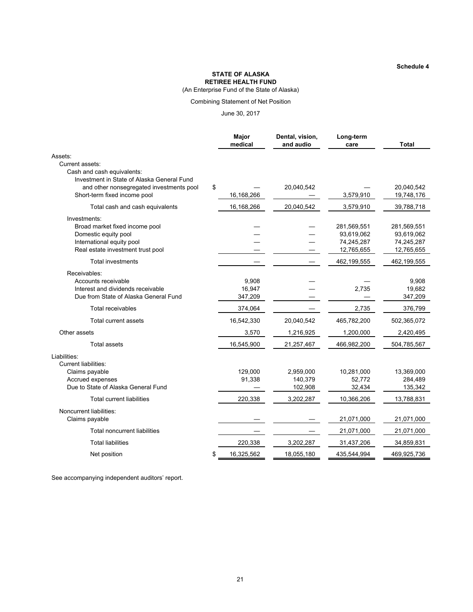(An Enterprise Fund of the State of Alaska)

#### Combining Statement of Net Position

June 30, 2017

|                                                                                        | Major<br>medical | Dental, vision,<br>and audio | Long-term<br>care | <b>Total</b> |
|----------------------------------------------------------------------------------------|------------------|------------------------------|-------------------|--------------|
| Assets:                                                                                |                  |                              |                   |              |
| Current assets:                                                                        |                  |                              |                   |              |
| Cash and cash equivalents:                                                             |                  |                              |                   |              |
| Investment in State of Alaska General Fund<br>and other nonsegregated investments pool | \$               | 20,040,542                   |                   | 20,040,542   |
| Short-term fixed income pool                                                           | 16, 168, 266     |                              | 3,579,910         | 19,748,176   |
| Total cash and cash equivalents                                                        | 16,168,266       | 20,040,542                   | 3,579,910         | 39,788,718   |
| Investments:                                                                           |                  |                              |                   |              |
| Broad market fixed income pool                                                         |                  |                              | 281,569,551       | 281,569,551  |
| Domestic equity pool                                                                   |                  |                              | 93,619,062        | 93,619,062   |
| International equity pool                                                              |                  |                              | 74,245,287        | 74,245,287   |
| Real estate investment trust pool                                                      |                  |                              | 12,765,655        | 12,765,655   |
| <b>Total investments</b>                                                               |                  |                              | 462,199,555       | 462,199,555  |
| Receivables:                                                                           |                  |                              |                   |              |
| Accounts receivable                                                                    | 9,908            |                              |                   | 9,908        |
| Interest and dividends receivable                                                      | 16,947           |                              | 2,735             | 19,682       |
| Due from State of Alaska General Fund                                                  | 347,209          |                              |                   | 347,209      |
| <b>Total receivables</b>                                                               | 374,064          |                              | 2,735             | 376,799      |
| <b>Total current assets</b>                                                            | 16,542,330       | 20,040,542                   | 465,782,200       | 502,365,072  |
| Other assets                                                                           | 3,570            | 1,216,925                    | 1,200,000         | 2,420,495    |
| <b>Total assets</b>                                                                    | 16,545,900       | 21,257,467                   | 466,982,200       | 504,785,567  |
| Liabilities:                                                                           |                  |                              |                   |              |
| Current liabilities:                                                                   |                  |                              |                   |              |
| Claims payable                                                                         | 129,000          | 2,959,000                    | 10,281,000        | 13,369,000   |
| Accrued expenses                                                                       | 91,338           | 140,379                      | 52.772            | 284,489      |
| Due to State of Alaska General Fund                                                    |                  | 102,908                      | 32,434            | 135,342      |
| <b>Total current liabilities</b>                                                       | 220,338          | 3,202,287                    | 10,366,206        | 13,788,831   |
| Noncurrent liabilities:                                                                |                  |                              |                   |              |
| Claims payable                                                                         |                  |                              | 21,071,000        | 21,071,000   |
| <b>Total noncurrent liabilities</b>                                                    |                  |                              | 21,071,000        | 21,071,000   |
| <b>Total liabilities</b>                                                               | 220,338          | 3,202,287                    | 31,437,206        | 34,859,831   |
| Net position                                                                           | \$<br>16,325,562 | 18,055,180                   | 435,544,994       | 469,925,736  |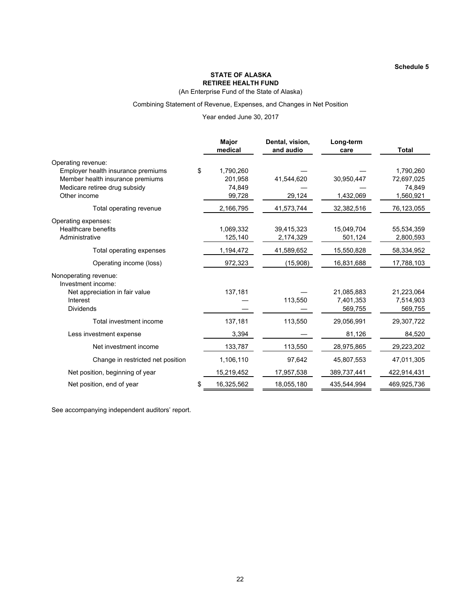**Schedule 5**

#### **STATE OF ALASKA RETIREE HEALTH FUND**

(An Enterprise Fund of the State of Alaska)

#### Combining Statement of Revenue, Expenses, and Changes in Net Position

#### Year ended June 30, 2017

|                                            | Major<br>medical | Dental, vision,<br>and audio | Long-term<br>care       | <b>Total</b>            |
|--------------------------------------------|------------------|------------------------------|-------------------------|-------------------------|
| Operating revenue:                         |                  |                              |                         |                         |
| Employer health insurance premiums         | \$<br>1,790,260  |                              |                         | 1,790,260               |
| Member health insurance premiums           | 201,958          | 41,544,620                   | 30,950,447              | 72,697,025              |
| Medicare retiree drug subsidy              | 74,849           |                              |                         | 74,849                  |
| Other income                               | 99,728           | 29,124                       | 1,432,069               | 1,560,921               |
| Total operating revenue                    | 2,166,795        | 41,573,744                   | 32,382,516              | 76,123,055              |
| Operating expenses:                        |                  |                              |                         |                         |
| <b>Healthcare benefits</b>                 | 1,069,332        | 39,415,323                   | 15,049,704              | 55,534,359              |
| Administrative                             | 125,140          | 2,174,329                    | 501,124                 | 2,800,593               |
| Total operating expenses                   | 1,194,472        | 41,589,652                   | 15,550,828              | 58,334,952              |
| Operating income (loss)                    | 972,323          | (15,908)                     | 16,831,688              | 17,788,103              |
| Nonoperating revenue:                      |                  |                              |                         |                         |
| Investment income:                         |                  |                              |                         |                         |
| Net appreciation in fair value<br>Interest | 137,181          | 113,550                      | 21,085,883<br>7,401,353 | 21,223,064<br>7,514,903 |
| <b>Dividends</b>                           |                  |                              | 569,755                 | 569,755                 |
|                                            |                  |                              |                         |                         |
| Total investment income                    | 137,181          | 113,550                      | 29,056,991              | 29,307,722              |
| Less investment expense                    | 3,394            |                              | 81,126                  | 84,520                  |
| Net investment income                      | 133,787          | 113,550                      | 28,975,865              | 29,223,202              |
| Change in restricted net position          | 1,106,110        | 97,642                       | 45,807,553              | 47,011,305              |
| Net position, beginning of year            | 15,219,452       | 17,957,538                   | 389,737,441             | 422,914,431             |
| Net position, end of year                  | \$<br>16,325,562 | 18,055,180                   | 435,544,994             | 469,925,736             |